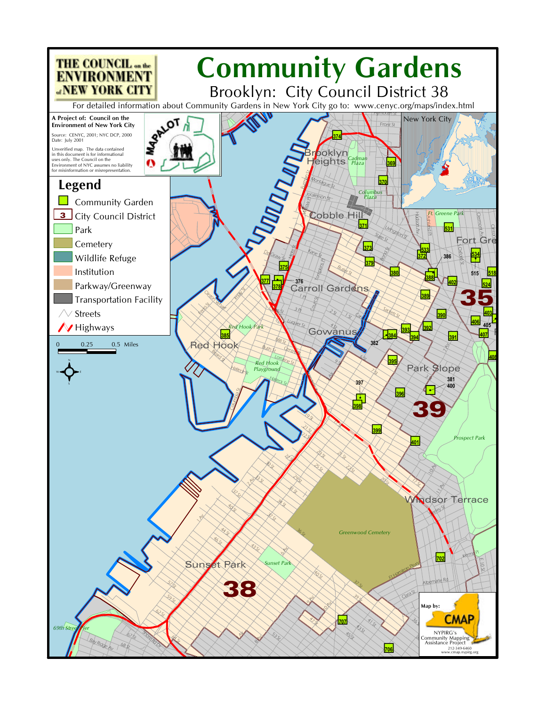